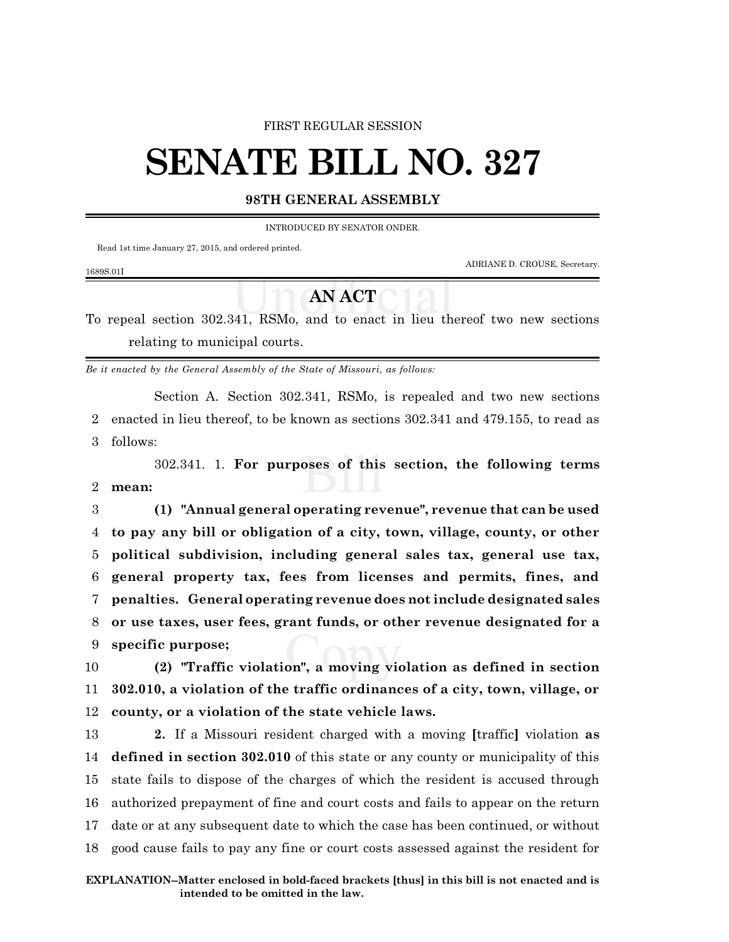#### FIRST REGULAR SESSION

# **SENATE BILL NO. 327**

### **98TH GENERAL ASSEMBLY**

INTRODUCED BY SENATOR ONDER.

Read 1st time January 27, 2015, and ordered printed.

ADRIANE D. CROUSE, Secretary.

#### 1689S.01I

## **AN ACT**

To repeal section 302.341, RSMo, and to enact in lieu thereof two new sections relating to municipal courts.

*Be it enacted by the General Assembly of the State of Missouri, as follows:*

Section A. Section 302.341, RSMo, is repealed and two new sections 2 enacted in lieu thereof, to be known as sections 302.341 and 479.155, to read as 3 follows:

302.341. 1. **For purposes of this section, the following terms** 2 **mean:**

 **(1) "Annual general operating revenue", revenue that can be used to pay any bill or obligation of a city, town, village, county, or other political subdivision, including general sales tax, general use tax, general property tax, fees from licenses and permits, fines, and penalties. General operating revenue does not include designated sales or use taxes, user fees, grant funds, or other revenue designated for a specific purpose;**

10 **(2) "Traffic violation", a moving violation as defined in section** 11 **302.010, a violation of the traffic ordinances of a city, town, village, or** 12 **county, or a violation of the state vehicle laws.**

 **2.** If a Missouri resident charged with a moving **[**traffic**]** violation **as defined in section 302.010** of this state or any county or municipality of this state fails to dispose of the charges of which the resident is accused through authorized prepayment of fine and court costs and fails to appear on the return date or at any subsequent date to which the case has been continued, or without good cause fails to pay any fine or court costs assessed against the resident for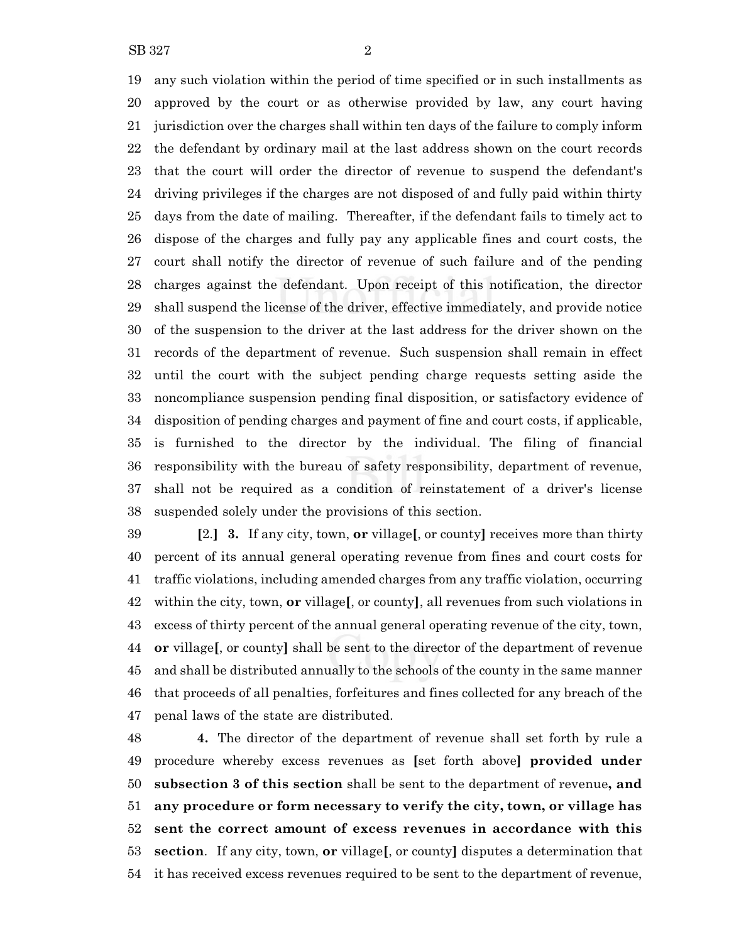any such violation within the period of time specified or in such installments as approved by the court or as otherwise provided by law, any court having jurisdiction over the charges shall within ten days of the failure to comply inform the defendant by ordinary mail at the last address shown on the court records that the court will order the director of revenue to suspend the defendant's driving privileges if the charges are not disposed of and fully paid within thirty days from the date of mailing. Thereafter, if the defendant fails to timely act to dispose of the charges and fully pay any applicable fines and court costs, the court shall notify the director of revenue of such failure and of the pending charges against the defendant. Upon receipt of this notification, the director shall suspend the license of the driver, effective immediately, and provide notice of the suspension to the driver at the last address for the driver shown on the records of the department of revenue. Such suspension shall remain in effect until the court with the subject pending charge requests setting aside the noncompliance suspension pending final disposition, or satisfactory evidence of disposition of pending charges and payment of fine and court costs, if applicable, is furnished to the director by the individual. The filing of financial responsibility with the bureau of safety responsibility, department of revenue, shall not be required as a condition of reinstatement of a driver's license suspended solely under the provisions of this section.

 **[**2.**] 3.** If any city, town, **or** village**[**, or county**]** receives more than thirty percent of its annual general operating revenue from fines and court costs for traffic violations, including amended charges from any traffic violation, occurring within the city, town, **or** village**[**, or county**]**, all revenues from such violations in excess of thirty percent of the annual general operating revenue of the city, town, **or** village**[**, or county**]** shall be sent to the director of the department of revenue and shall be distributed annually to the schools of the county in the same manner that proceeds of all penalties, forfeitures and fines collected for any breach of the penal laws of the state are distributed.

 **4.** The director of the department of revenue shall set forth by rule a procedure whereby excess revenues as **[**set forth above**] provided under subsection 3 of this section** shall be sent to the department of revenue**, and any procedure or form necessary to verify the city, town, or village has sent the correct amount of excess revenues in accordance with this section**. If any city, town, **or** village**[**, or county**]** disputes a determination that it has received excess revenues required to be sent to the department of revenue,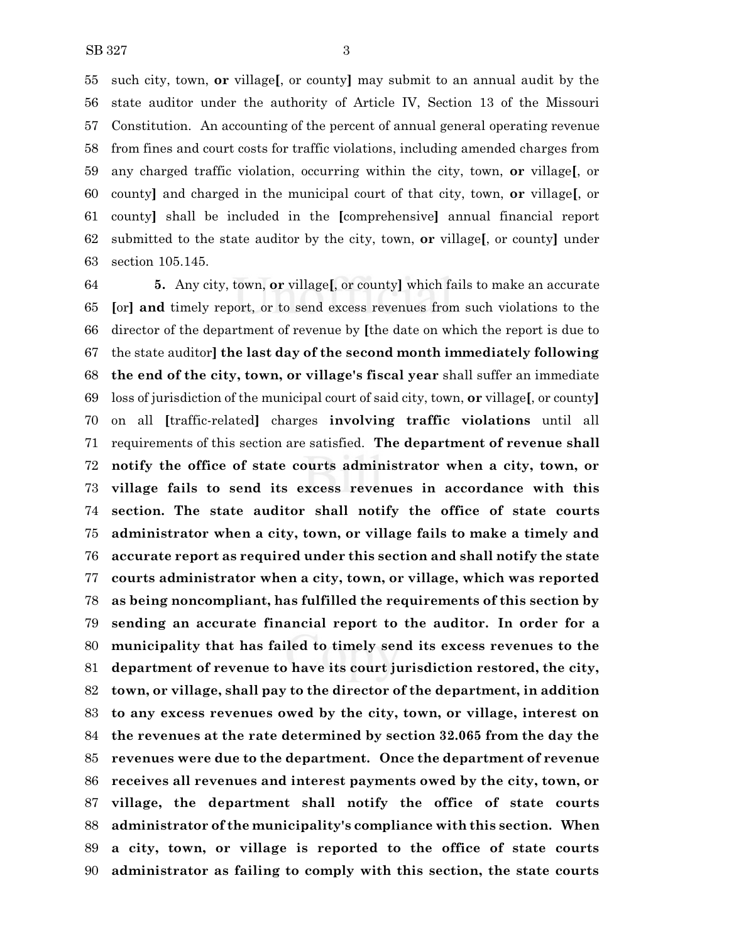such city, town, **or** village**[**, or county**]** may submit to an annual audit by the state auditor under the authority of Article IV, Section 13 of the Missouri Constitution. An accounting of the percent of annual general operating revenue from fines and court costs for traffic violations, including amended charges from any charged traffic violation, occurring within the city, town, **or** village**[**, or county**]** and charged in the municipal court of that city, town, **or** village**[**, or county**]** shall be included in the **[**comprehensive**]** annual financial report submitted to the state auditor by the city, town, **or** village**[**, or county**]** under section 105.145.

 **5.** Any city, town, **or** village**[**, or county**]** which fails to make an accurate **[**or**] and** timely report, or to send excess revenues from such violations to the director of the department of revenue by **[**the date on which the report is due to the state auditor**] the last day of the second month immediately following the end of the city, town, or village's fiscal year** shall suffer an immediate loss of jurisdiction of the municipal court of said city, town, **or** village**[**, or county**]** on all **[**traffic-related**]** charges **involving traffic violations** until all requirements of this section are satisfied. **The department of revenue shall notify the office of state courts administrator when a city, town, or village fails to send its excess revenues in accordance with this section. The state auditor shall notify the office of state courts administrator when a city, town, or village fails to make a timely and accurate report as required under this section and shall notify the state courts administrator when a city, town, or village, which was reported as being noncompliant, has fulfilled the requirements of this section by sending an accurate financial report to the auditor. In order for a municipality that has failed to timely send its excess revenues to the department of revenue to have its court jurisdiction restored, the city, town, or village, shall pay to the director of the department, in addition to any excess revenues owed by the city, town, or village, interest on the revenues at the rate determined by section 32.065 from the day the revenues were due to the department. Once the department of revenue receives all revenues and interest payments owed by the city, town, or village, the department shall notify the office of state courts administrator of the municipality's compliance with this section. When a city, town, or village is reported to the office of state courts administrator as failing to comply with this section, the state courts**